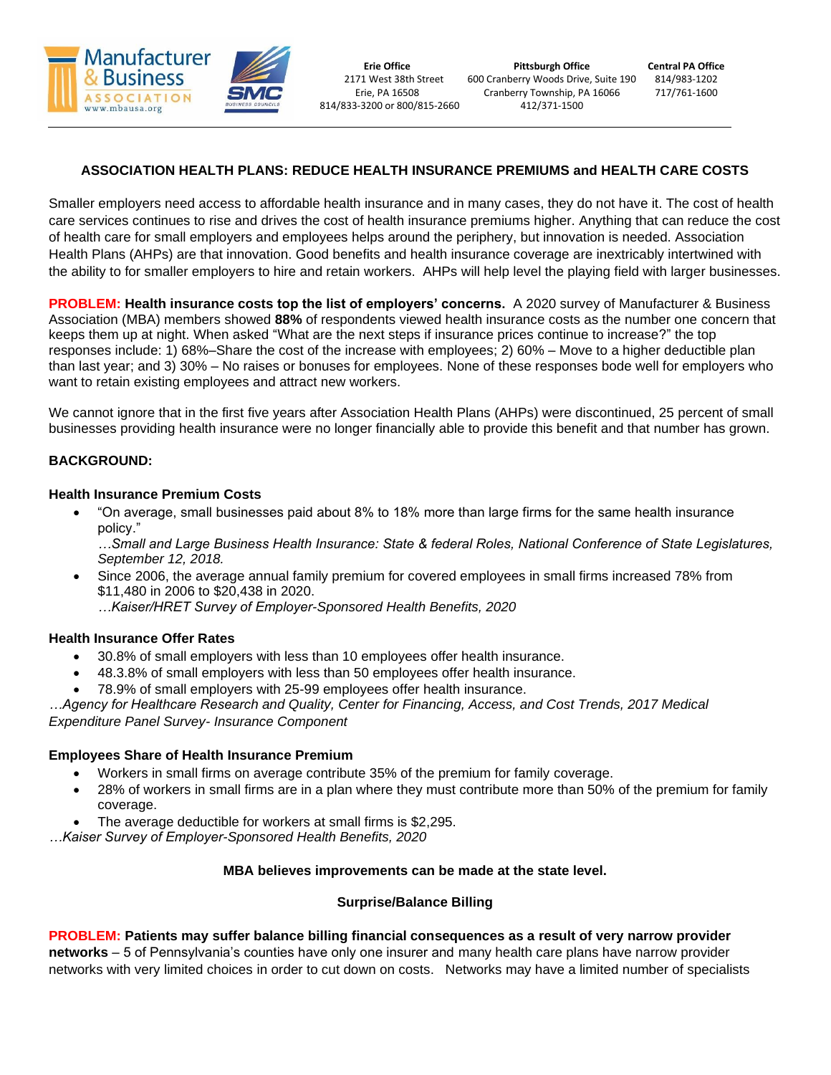

# **ASSOCIATION HEALTH PLANS: REDUCE HEALTH INSURANCE PREMIUMS and HEALTH CARE COSTS**

Smaller employers need access to affordable health insurance and in many cases, they do not have it. The cost of health care services continues to rise and drives the cost of health insurance premiums higher. Anything that can reduce the cost of health care for small employers and employees helps around the periphery, but innovation is needed. Association Health Plans (AHPs) are that innovation. Good benefits and health insurance coverage are inextricably intertwined with the ability to for smaller employers to hire and retain workers. AHPs will help level the playing field with larger businesses.

**PROBLEM: Health insurance costs top the list of employers' concerns.** A 2020 survey of Manufacturer & Business Association (MBA) members showed **88%** of respondents viewed health insurance costs as the number one concern that keeps them up at night. When asked "What are the next steps if insurance prices continue to increase?" the top responses include: 1) 68%–Share the cost of the increase with employees; 2) 60% – Move to a higher deductible plan than last year; and 3) 30% – No raises or bonuses for employees. None of these responses bode well for employers who want to retain existing employees and attract new workers.

We cannot ignore that in the first five years after Association Health Plans (AHPs) were discontinued, 25 percent of small businesses providing health insurance were no longer financially able to provide this benefit and that number has grown.

### **BACKGROUND:**

#### **Health Insurance Premium Costs**

• "On average, small businesses paid about 8% to 18% more than large firms for the same health insurance policy."

*…Small and Large Business Health Insurance: State & federal Roles, National Conference of State Legislatures, September 12, 2018.*

- Since 2006, the average annual family premium for covered employees in small firms increased 78% from \$11,480 in 2006 to \$20,438 in 2020.
	- *…Kaiser/HRET Survey of Employer-Sponsored Health Benefits, 2020*

### **Health Insurance Offer Rates**

- 30.8% of small employers with less than 10 employees offer health insurance.
- 48.3.8% of small employers with less than 50 employees offer health insurance.
- 78.9% of small employers with 25-99 employees offer health insurance.

*…Agency for Healthcare Research and Quality, Center for Financing, Access, and Cost Trends, 2017 Medical Expenditure Panel Survey- Insurance Component*

### **Employees Share of Health Insurance Premium**

- Workers in small firms on average contribute 35% of the premium for family coverage.
- 28% of workers in small firms are in a plan where they must contribute more than 50% of the premium for family coverage.
- The average deductible for workers at small firms is \$2,295.

*…Kaiser Survey of Employer-Sponsored Health Benefits, 2020*

### **MBA believes improvements can be made at the state level.**

### **Surprise/Balance Billing**

### **PROBLEM: Patients may suffer balance billing financial consequences as a result of very narrow provider**

**networks** – 5 of Pennsylvania's counties have only one insurer and many health care plans have narrow provider networks with very limited choices in order to cut down on costs. Networks may have a limited number of specialists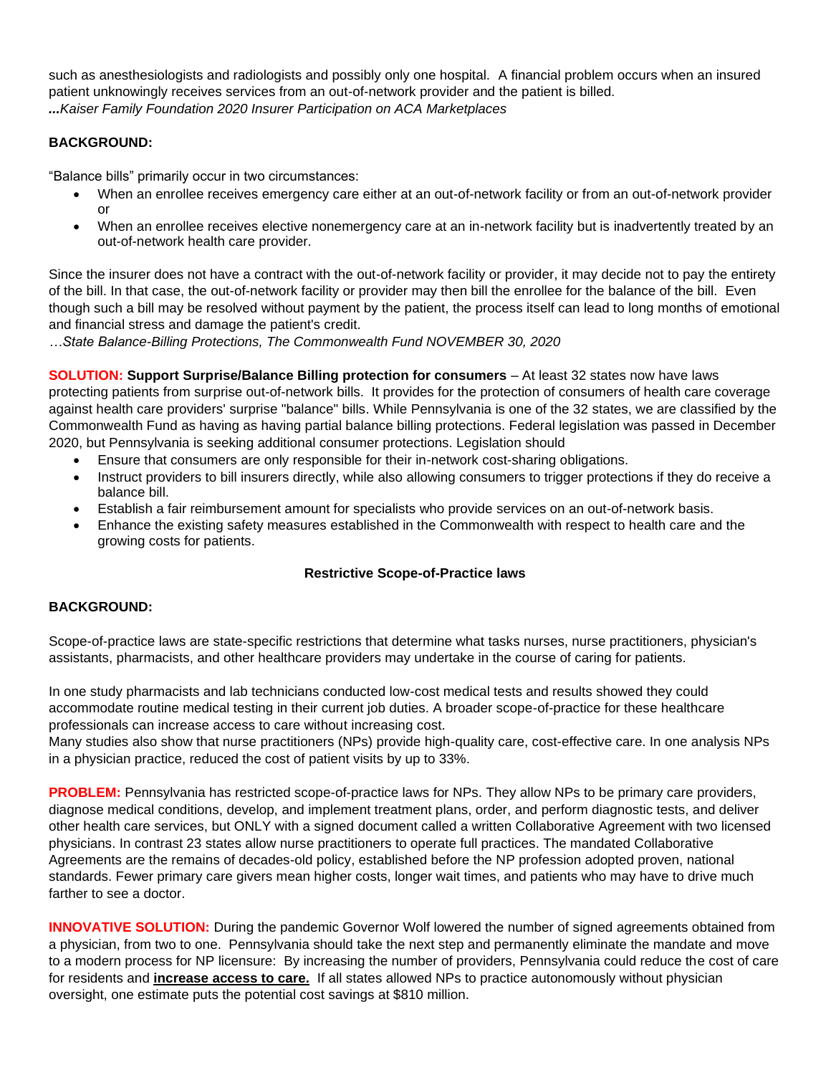such as anesthesiologists and radiologists and possibly only one hospital. A financial problem occurs when an insured patient unknowingly receives services from an out-of-network provider and the patient is billed. *...Kaiser Family Foundation 2020 Insurer Participation on ACA Marketplaces*

## **BACKGROUND:**

"Balance bills" primarily occur in two circumstances:

- When an enrollee receives emergency care either at an out-of-network facility or from an out-of-network provider or
- When an enrollee receives elective nonemergency care at an in-network facility but is inadvertently treated by an out-of-network health care provider.

Since the insurer does not have a contract with the out-of-network facility or provider, it may decide not to pay the entirety of the bill. In that case, the out-of-network facility or provider may then bill the enrollee for the balance of the bill. Even though such a bill may be resolved without payment by the patient, the process itself can lead to long months of emotional and financial stress and damage the patient's credit.

*…State Balance-Billing Protections, The Commonwealth Fund NOVEMBER 30, 2020*

**SOLUTION: Support Surprise/Balance Billing protection for consumers** – At least 32 states now have laws protecting patients from surprise out-of-network bills. It provides for the protection of consumers of health care coverage against health care providers' surprise "balance" bills. While Pennsylvania is one of the 32 states, we are classified by the Commonwealth Fund as having as having partial balance billing protections. Federal legislation was passed in December 2020, but Pennsylvania is seeking additional consumer protections. Legislation should

- Ensure that consumers are only responsible for their in-network cost-sharing obligations.
- Instruct providers to bill insurers directly, while also allowing consumers to trigger protections if they do receive a balance bill.
- Establish a fair reimbursement amount for specialists who provide services on an out-of-network basis.
- Enhance the existing safety measures established in the Commonwealth with respect to health care and the growing costs for patients.

## **Restrictive Scope-of-Practice laws**

## **BACKGROUND:**

Scope-of-practice laws are state-specific restrictions that determine what tasks nurses, nurse practitioners, physician's assistants, pharmacists, and other healthcare providers may undertake in the course of caring for patients.

In one study pharmacists and lab technicians conducted low-cost medical tests and results showed they could accommodate routine medical testing in their current job duties. A broader scope-of-practice for these healthcare professionals can increase access to care without increasing cost.

Many studies also show that nurse practitioners (NPs) provide high-quality care, cost-effective care. In one analysis NPs in a physician practice, reduced the cost of patient visits by up to 33%.

**PROBLEM:** Pennsylvania has restricted scope-of-practice laws for NPs. They allow NPs to be primary care providers, diagnose medical conditions, develop, and implement treatment plans, order, and perform diagnostic tests, and deliver other health care services, but ONLY with a signed document called a written Collaborative Agreement with two licensed physicians. In contrast 23 states allow nurse practitioners to operate full practices. The mandated Collaborative Agreements are the remains of decades-old policy, established before the NP profession adopted proven, national standards. Fewer primary care givers mean higher costs, longer wait times, and patients who may have to drive much farther to see a doctor.

**INNOVATIVE SOLUTION:** During the pandemic Governor Wolf lowered the number of signed agreements obtained from a physician, from two to one. Pennsylvania should take the next step and permanently eliminate the mandate and move to a modern process for NP licensure: By increasing the number of providers, Pennsylvania could reduce the cost of care for residents and **increase access to care.** If all states allowed NPs to practice autonomously without physician oversight, one estimate puts the potential cost savings at \$810 million.